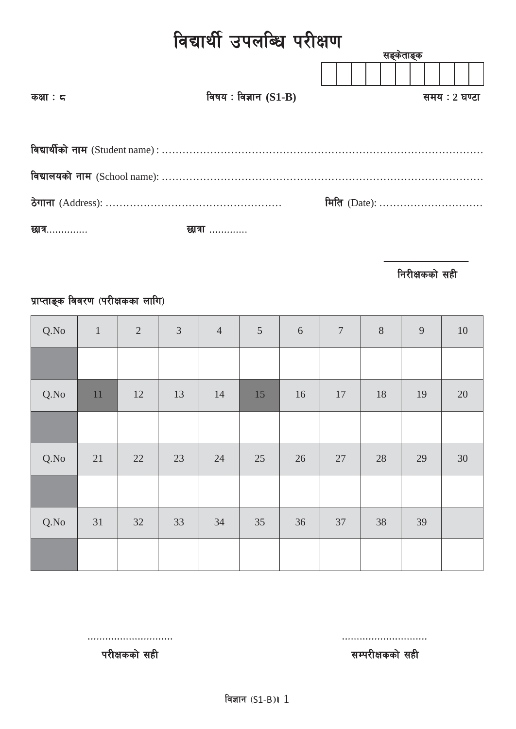# विद्यार्थी उपलब्धि परीक्षण

|                   |                        | सङ्कताङ्क    |               |  |
|-------------------|------------------------|--------------|---------------|--|
|                   |                        |              |               |  |
| कक्षाः $\epsilon$ | विषय: विज्ञान $(S1-B)$ |              | समय : 2 घण्टा |  |
|                   |                        |              |               |  |
|                   |                        |              |               |  |
|                   |                        |              |               |  |
|                   |                        | मिति (Date): |               |  |
| छात्र………….        | छात्रा …………            |              |               |  |

**निरीक्षकको सही** 

## प्राप्ताङ्क विवरण (परीक्षकका लागि)

| Q.No | $\mathbf{1}$ | $\sqrt{2}$ | $\mathfrak{Z}$ | $\overline{4}$ | $\overline{5}$ | $\sqrt{6}$ | $\boldsymbol{7}$ | $\, 8$ | 9  | $10\,$ |
|------|--------------|------------|----------------|----------------|----------------|------------|------------------|--------|----|--------|
|      |              |            |                |                |                |            |                  |        |    |        |
| Q.No | 11           | 12         | 13             | 14             | 15             | 16         | 17               | 18     | 19 | $20\,$ |
|      |              |            |                |                |                |            |                  |        |    |        |
| Q.No | 21           | 22         | 23             | 24             | 25             | 26         | 27               | 28     | 29 | 30     |
|      |              |            |                |                |                |            |                  |        |    |        |
| Q.No | 31           | 32         | 33             | 34             | 35             | 36         | 37               | 38     | 39 |        |
|      |              |            |                |                |                |            |                  |        |    |        |

============================= =============================

परीक्षकको सही $\overline{\mathbf{r}}$ परीक्षकको सही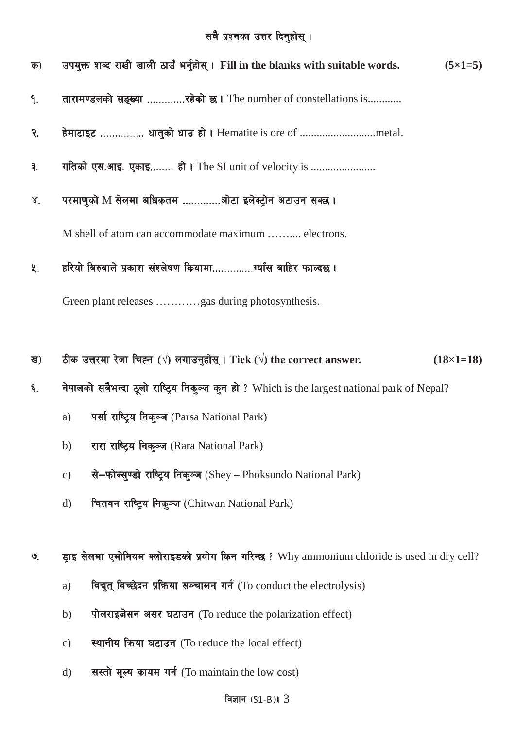## सबै प्रश्नका उत्तर दिनुहोस् ।

| क)             | उपयुक्त शब्द राखी खाली ठाउँ भर्नुहोस् । Fill in the blanks with suitable words.<br>$(5\times1=5)$              |  |  |  |  |  |  |
|----------------|----------------------------------------------------------------------------------------------------------------|--|--|--|--|--|--|
| 9.             | तारामण्डलको सङ्ख्या रहेको छ। The number of constellations is                                                   |  |  |  |  |  |  |
| २.             | हेमाटाइट  धातुको धाउ हो। Hematite is ore of metal.                                                             |  |  |  |  |  |  |
| ३.             | गतिको एस.आइ. एकाइ हो। The SI unit of velocity is                                                               |  |  |  |  |  |  |
| 8 <sub>1</sub> | परमाणुको M सेलमा अधिकतम ओटा इलेक्ट्रोन अटाउन सक्छ ।                                                            |  |  |  |  |  |  |
|                | M shell of atom can accommodate maximum  electrons.                                                            |  |  |  |  |  |  |
| 义.             | हरियो बिरुवाले प्रकाश संश्लेषण कियामाग्याँस बाहिर फाल्दछ ।                                                     |  |  |  |  |  |  |
|                | Green plant releases gas during photosynthesis.                                                                |  |  |  |  |  |  |
|                |                                                                                                                |  |  |  |  |  |  |
| ख)             | ठीक उत्तरमा रेजा चिह्न ( $\sqrt{ }$ ) लगाउनुहोस् । Tick ( $\sqrt{ }$ ) the correct answer.<br>$(18\times1=18)$ |  |  |  |  |  |  |
| ۶.             | नेपालको सबैभन्दा ठूलो राष्ट्रिय निक्ञ्ज कुन हो ? Which is the largest national park of Nepal?                  |  |  |  |  |  |  |
|                | पर्सा राष्ट्रिय निकुञ्ज (Parsa National Park)<br>a)                                                            |  |  |  |  |  |  |
|                | रारा राष्ट्रिय निकुञ्ज (Rara National Park)<br>b)                                                              |  |  |  |  |  |  |
|                | से-फोक्सुण्डो राष्ट्रिय निकुञ्ज (Shey - Phoksundo National Park)<br>$\mathbf{c})$                              |  |  |  |  |  |  |
|                | चितवन राष्ट्रिय निकुञ्ज (Chitwan National Park)<br>$\rm d)$                                                    |  |  |  |  |  |  |
|                |                                                                                                                |  |  |  |  |  |  |
| $\mathcal{Q}$  | ड्राइ सेलमा एमोनियम क्लोराइडको प्रयोग किन गरिन्छ ? Why ammonium chloride is used in dry cell?                  |  |  |  |  |  |  |
|                | विद्युत् विच्छेदन प्रक्रिया सञ्चालन गर्न (To conduct the electrolysis)<br>a)                                   |  |  |  |  |  |  |
|                | पोलराइजेसन असर घटाउन (To reduce the polarization effect)<br>b)                                                 |  |  |  |  |  |  |

- स्थानीय किया घटाउन (To reduce the local effect)  $c)$
- सस्तो मूल्य कायम गर्न (To maintain the low cost)  $d)$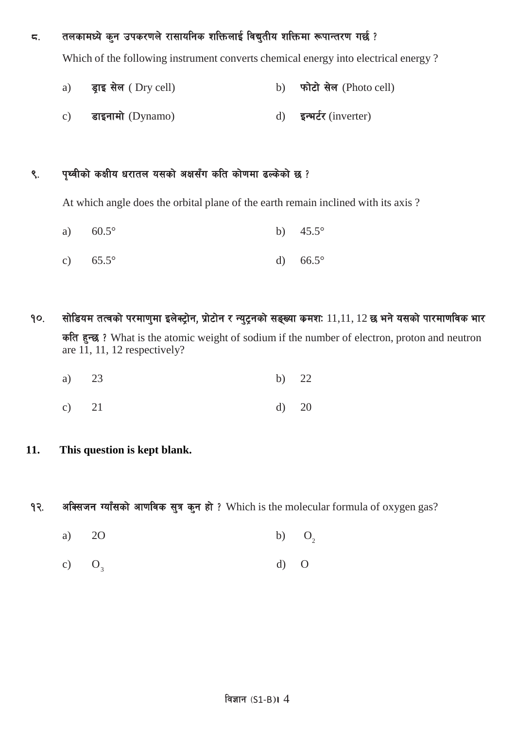### $\,$ द्र. व्यावकामध्ये कुन उपकरणले रासायनिक शक्तिलाई विद्युतीय शक्तिमा रूपान्तरण गर्छ ?

Which of the following instrument converts chemical energy into electrical energy ?

- a) इाइ सेल (Dry cell) b) फोटो सेल (Photo cell)
- c) डाइनामो (Dynamo) d) इन्भर्टर (inverter)

### ९. पृथ्वीको कक्षीय धरातल यसको अक्षसँग कति कोणमा ढल्केको छ ?

At which angle does the orbital plane of the earth remain inclined with its axis ?

- a)  $60.5^{\circ}$  b)  $45.5^{\circ}$
- c)  $65.5^{\circ}$  d)  $66.5^{\circ}$
- $9$ 0. सोडियम तत्वको परमाणमा इलेक्टोन, प्रोटोन र न्युटनको सङ्ख्या कमशः  $11,11,$   $12$  छ भने यसको पारमाणविक भार कति हुन्छ ? What is the atomic weight of sodium if the number of electron, proton and neutron are 11, 11, 12 respectively?
	- a) 23 b) 22
	- c) 21 d) 20
- **11. This question is kept blank.**
- १२. अक्सिजन ग्याँसको आणविक सूत्र कुन हो ? Which is the molecular formula of oxygen gas?
	- $O<sub>2</sub>$ a) 2O b) O
	- $O<sub>3</sub>$ c)  $O_3$  d) O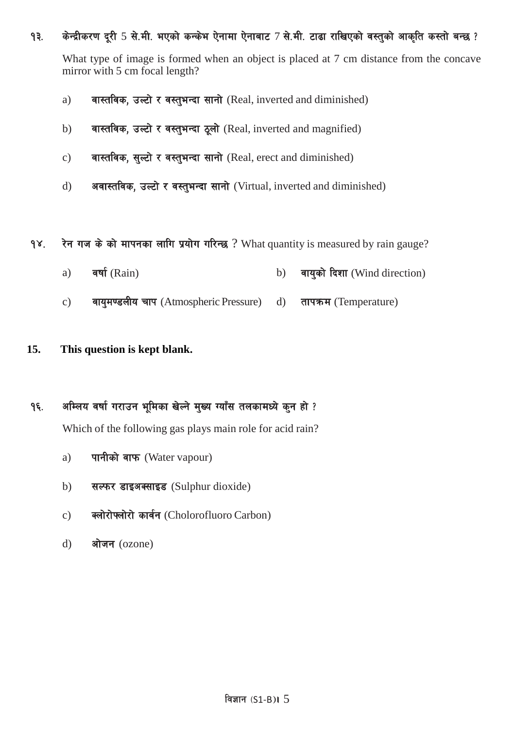#### १३. किन्द्रीकरण दुरी 5 से.मी. भएको कन्केभ ऐनामा ऐनाबाट 7 से.मी. टाढा राखिएको वस्तुको आकृति कस्तो बन्छ ?

What type of image is formed when an object is placed at 7 cm distance from the concave mirror with 5 cm focal length?

- a) anxided in Fig. and in the set of  $R$  and diminished) and diminished)
- b) वास्तविक, उल्टो र वस्तुभन्दा ठूलो (Real, inverted and magnified)
- c) वास्तविक, सुल्टो र वस्तुभन्दा सानो (Real, erect and diminished)
- d) अवास्तविक, उल्टो र वस्तुभन्दा सानो (Virtual, inverted and diminished)

१४. रेन गज के को मापनका लागि प्रयोग गरिन्छ ? What quantity is measured by rain gauge?

- a) वर्षा (Rain) and the b) वायुको दिशा (Wind direction)
- c) वायुमण्डलीय चाप (Atmospheric Pressure) d) तापक्रम (Temperature)

#### **15. This question is kept blank.**

### १६. अम्लिय वर्षा गराउन भूमिका खेल्ने मुख्य ग्याँस तलकामध्ये कुन हो ?

Which of the following gas plays main role for acid rain?

- a) पानीको वाफ (Water vapour)
- $b)$  सल्फर डाइअक्साइड (Sulphur dioxide)
- c) क्लोरोफ्लोरो कार्वन (Cholorofluoro Carbon)
- d) ओजन (ozone)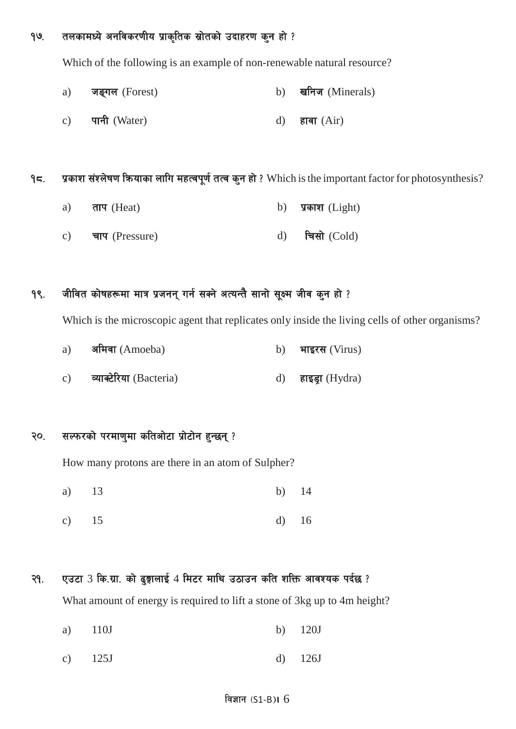१७. तलकामध्ये अनविकरणीय प्राकृतिक स्रोतको उदाहरण कुन हो ?

Which of the following is an example of non-renewable natural resource?

- a) जङ्गल (Forest) b) खनिज (Minerals)
- c) पानी (Water)  $d$ ) हावा (Air)

 $95.$  प्रकाश संश्लेषण कियाका लागि महत्वपूर्ण तत्व कुन हो ? Which is the important factor for photosynthesis?

- a)  $\pi \pi$  (Heat) b)  $\pi \pi$  (Light)
- c) चाप (Pressure) d) चिसो (Cold)

### १९. जीवित कोषहरूमा मात्र प्रजनन् गर्न सक्ने अत्यन्तै सानो सूक्ष्म जीव कुन हो ?

Which is the microscopic agent that replicates only inside the living cells of other organisms?

| a)              | अमिवा (Amoeba)          | b) भाइरस (Virus)   |
|-----------------|-------------------------|--------------------|
| $\mathcal{C}$ ) | व्याक्टेरिया (Bacteria) | d) हाइड्रा (Hydra) |

### २०. सल्फरको परमाणुमा कतिओटा प्रोटोन हुन्छन् ?

How many protons are there in an atom of Sulpher?

- a) 13 b) 14
- c) 15 d) 16
- $Q$ ? (2) 2013 13 20 2015 10 2015 4 2015 10 diagonal profile of the cream of  $S$ What amount of energy is required to lift a stone of 3kg up to 4m height?
	- a) 110J b) 120J
	- c) 125J d) 126J

#### विज्ञान  $(S1-B)$ । 6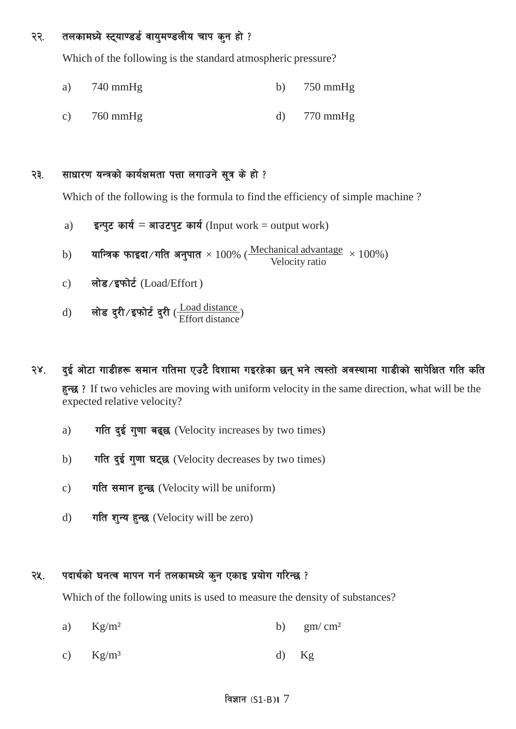#### २२. तलकामध्ये स्ट्याण्डर्ड वायुमण्डलीय चाप कुन हो ?

Which of the following is the standard atmospheric pressure?

- a) 740 mmHg b) 750 mmHg
- c) 760 mmHg d) 770 mmHg

#### २३. साधारण यन्त्रको कार्यक्षमता पत्ता लगाउने सूत्र के हो ?

Which of the following is the formula to find the efficiency of simple machine?

- a)  $\vec{s}$  इन्पुट कार्य = आउटपुट कार्य (Input work = output work)
- $\text{b)}$  यान्त्रिक फाइदा ⁄ गति अनुपात  $\times\,100\%$  ( $\frac{\text{Mechanical advantage}}{\text{Velocity ratio}}\times 100\%$ )
- c) लोड/इफोर्ट (Load/Effort)
- d) लोड दुरी/इफोर्ट दुरी ( $\frac{\text{Load distance}}{\text{Effort distance}}$ )

### २४. दई ओटा गाडीहरू समान गतिमा एउटै दिशामा गइरहेका छन् भने त्यस्तो अवस्थामा गाडीको सापेक्षित गति कति

हुन्छ ? If two vehicles are moving with uniform velocity in the same direction, what will be the expected relative velocity?

- a)  $\pi$   $\pi$   $\frac{1}{2}$   $\pi$   $\frac{1}{2}$   $\frac{1}{2}$   $\frac{1}{2}$   $\frac{1}{2}$   $\frac{1}{2}$   $\frac{1}{2}$   $\frac{1}{2}$   $\frac{1}{2}$   $\frac{1}{2}$   $\frac{1}{2}$   $\frac{1}{2}$   $\frac{1}{2}$   $\frac{1}{2}$   $\frac{1}{2}$   $\frac{1}{2}$   $\frac{1}{2}$   $\frac{1}{2}$   $\frac{1}{2}$   $\frac{1}{2}$   $\frac$
- b) गति दुई गुणा घट्छ (Velocity decreases by two times)
- c) गति समान हुन्छ (Velocity will be uniform)
- d) गति शन्य हुन्छ (Velocity will be zero)

#### २५. पदार्थको घनत्व मापन गर्न तलकामध्ये कुन एकाइ प्रयोग गरिन्छ ?

Which of the following units is used to measure the density of substances?

- a)  $Kg/m^2$  b)  $gm/cm^2$
- c)  $Kg/m<sup>3</sup>$  d)  $Kg$

#### विज्ञान  $(S1-B)$ । 7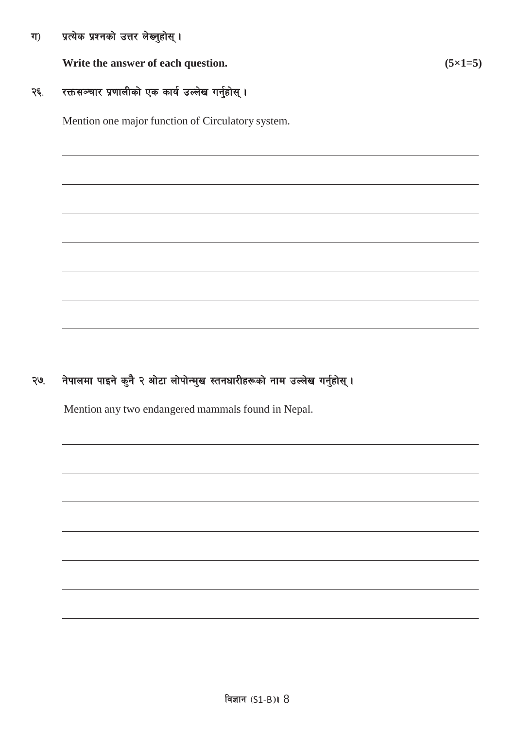ग) प्रत्येक प्रश्नको उत्तर लेख्नुहोस् ।

**Write** the answer of each question.  $(5 \times 1 = 5)$ 

### २६. रक्तसञ्चार प्रणालीको एक कार्य उल्लेख गर्नुहोस् ।

Mention one major function of Circulatory system.

२७. नेपालमा पाइने कुनै २ ओटा लोपोन्मुख स्तनधारीहरूको नाम उल्लेख गर्नुहोस् ।

Mention any two endangered mammals found in Nepal.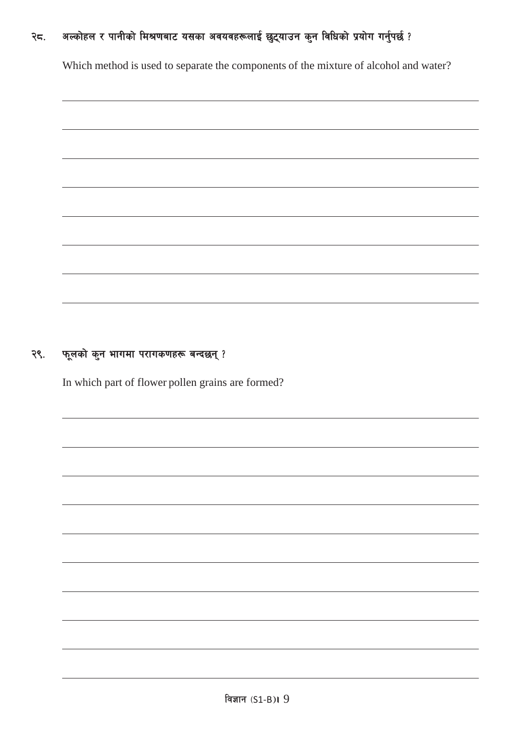#### अल्कोहल र पानीको मिश्रणबाट यसका अवयवहरूलाई छुट्याउन कुन विधिको प्रयोग गर्नुपर्छ ? २८.

Which method is used to separate the components of the mixture of alcohol and water?

#### फूलको कुन भागमा परागकणहरू बन्दछन्? २९.

In which part of flower pollen grains are formed?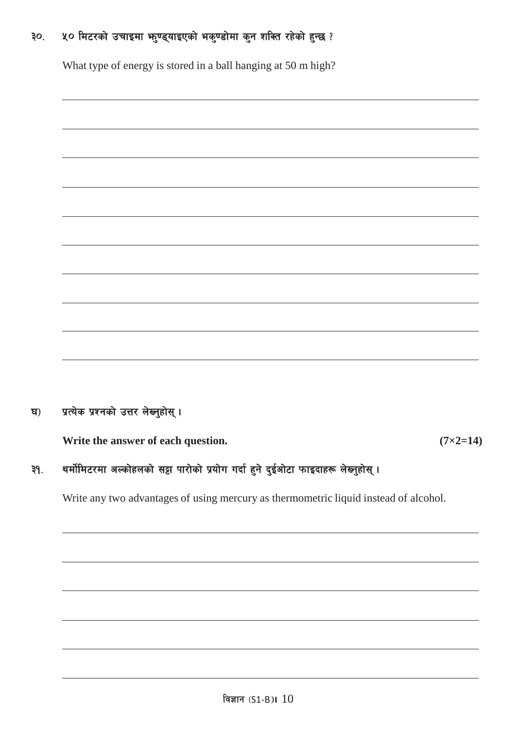#### ५० मिटरको उचाइमा भनुण्ड्याइएको भकुण्डोमा कुन शक्ति रहेको हुन्छ ?  $30<sub>1</sub>$

What type of energy is stored in a ball hanging at 50 m high?

#### प्रत्येक प्रश्नको उत्तर लेख्नुहोस् । ঘ)

Write the answer of each question.

 $(7\times2=14)$ 

#### थर्मोमिटरमा अल्कोहलको सट्टा पारोको प्रयोग गर्दा हुने दुईओटा फाइदाहरू लेख्नुहोस् ।  $39.$

Write any two advantages of using mercury as thermometric liquid instead of alcohol.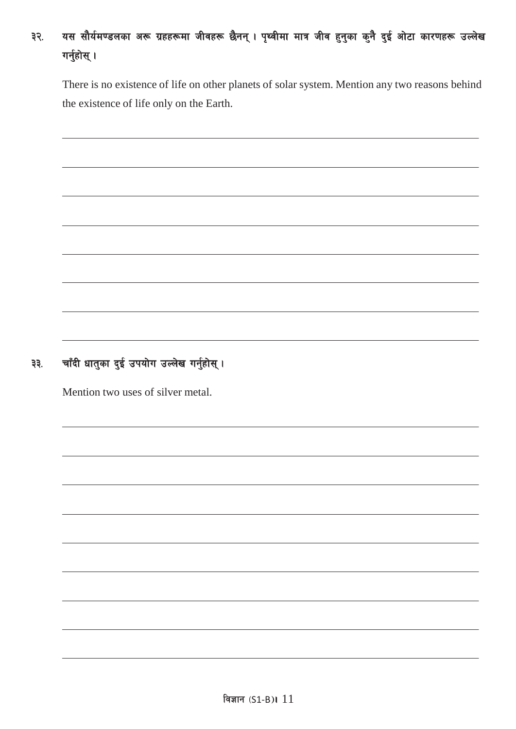## ३२. यस सौर्यमण्डलका अरू ग्रहहरूमा जीवहरू छैनन् । पृथ्वीमा मात्र जीव हुनुका कुनै दुई ओटा कारणहरू उल्लेख गर्नुहोस् $\,$ ।

There is no existence of life on other planets of solar system. Mention any two reasons behind the existence of life only on the Earth.

## ३३. वाँदी धातुका दुई उपयोग उल्लेख गर्नुहोस् ।

Mention two uses of silver metal.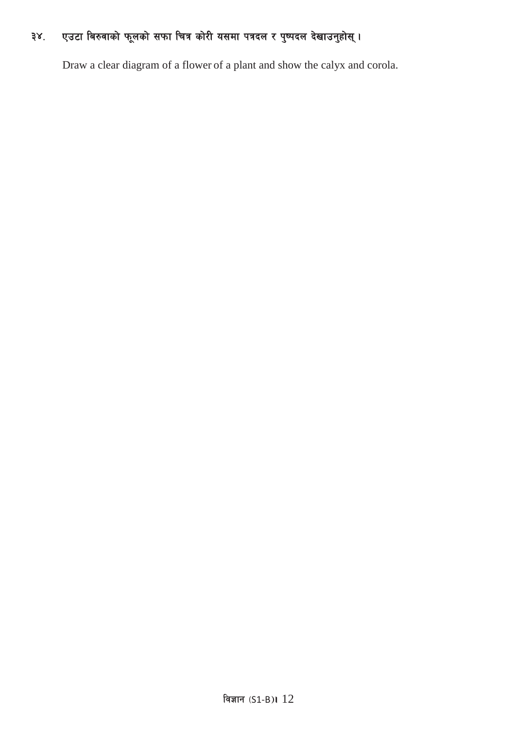## ३४. एउटा बिरुवाको फूलको सफा चित्र कोरी यसमा पत्रदल र पुष्पदल देखाउनुहोस् ।

Draw a clear diagram of a flower of a plant and show the calyx and corola.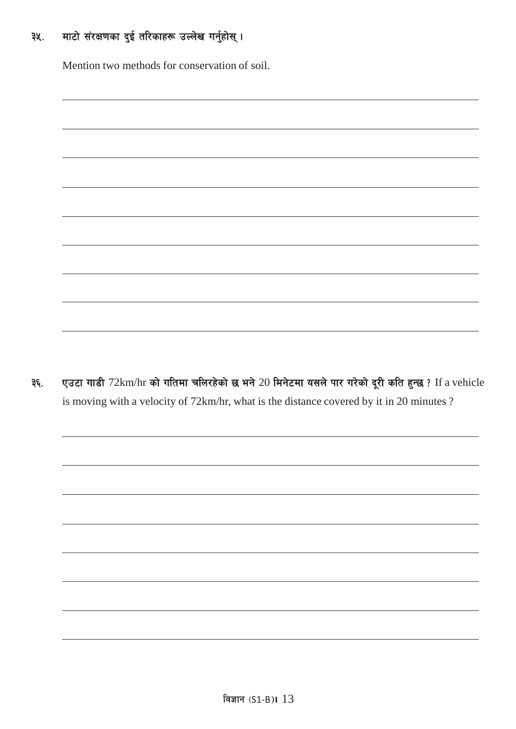## ३५. माटो संरक्षणका दुई तरिकाहरू उल्लेख गर्नुहोस् ।

Mention two methods for conservation of soil.

३६. एउटा गाडी 72km/hr को गतिमा चलिरहेको छ भने 20 मिनेटमा यसले पार गरेको दूरी कति हुन्छ ? If a vehicle is moving with a velocity of 72km/hr, what is the distance covered by it in 20 minutes ?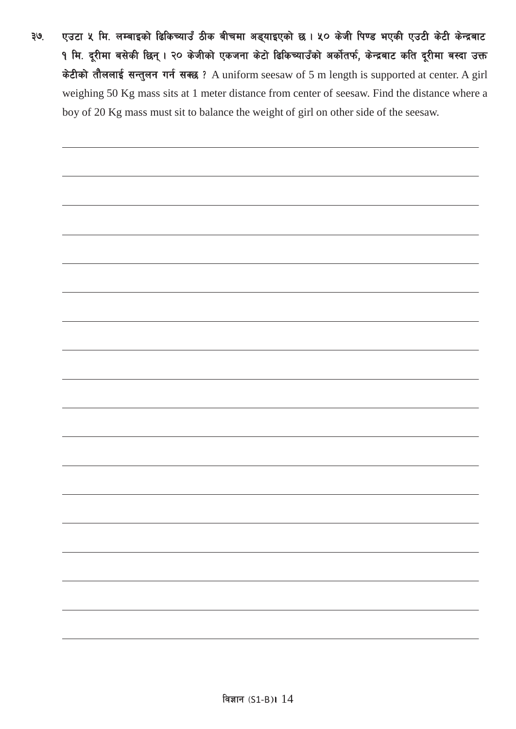३७. एउटा ५ मि. लम्बाइको ढिकिच्याउँ ठीक बीचमा अड्याइएको छ । ५० केजी पिण्ड भएकी एउटी केटी केन्द्रबाट १ मि. दूरीमा बसेकी छिन् । २० केजीको एकजना केटो ढिकिच्याउँको अर्कोतर्फ, केन्द्रबाट कति दूरीमा बस्दा उक्त केटीको तौललाई सन्तुलन गर्न सक्छ ? A uniform seesaw of 5 m length is supported at center. A girl weighing 50 Kg mass sits at 1 meter distance from center of seesaw. Find the distance where a boy of 20 Kg mass must sit to balance the weight of girl on other side of the seesaw.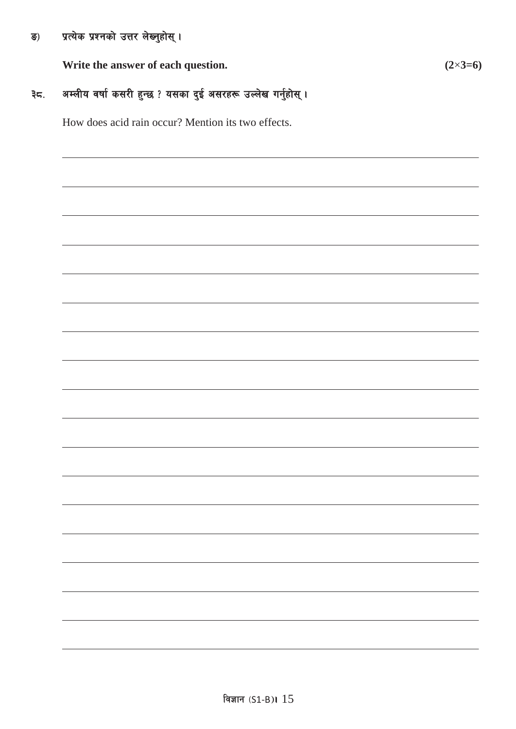#### प्रत्येक प्रश्नको उत्तर लेख्नुहोस् । ङ)

Write the answer of each question.

#### अम्लीय वर्षा कसरी हुन्छ ? यसका दुई असरहरू उल्लेख गर्नुहोस् । ३८.

How does acid rain occur? Mention its two effects.